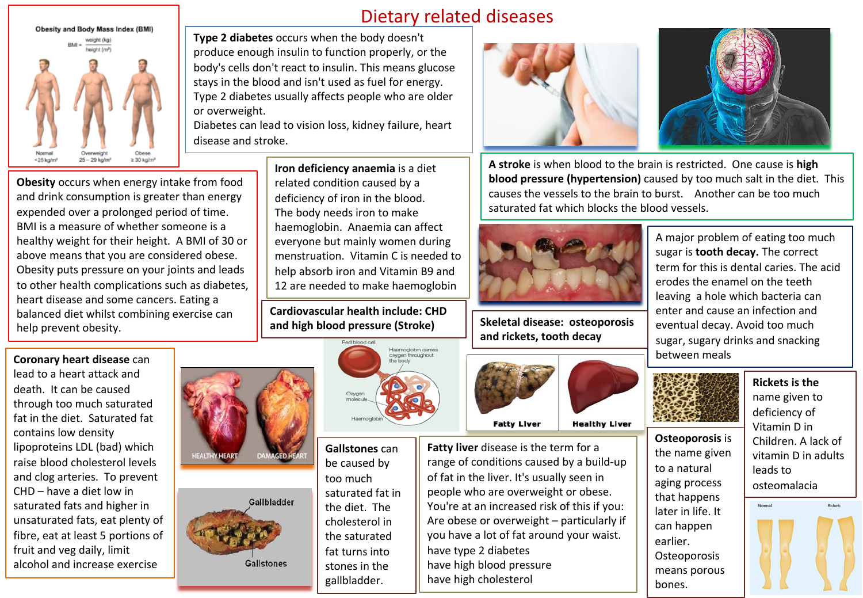

Dietary related diseases

**Type 2 diabetes** occurs when the body doesn't produce enough insulin to function properly, or the body's cells don't react to insulin. This means glucose stays in the blood and isn't used as fuel for energy. Type 2 diabetes usually affects people who are older or overweight.

Diabetes can lead to vision loss, kidney failure, heart disease and stroke.

**Obesity** occurs when energy intake from food and drink consumption is greater than energy expended over a prolonged period of time. BMI is a measure of whether someone is a healthy weight for their height. A BMI of 30 or above means that you are considered obese. Obesity puts pressure on your joints and leads to other health complications such as diabetes, heart disease and some cancers. Eating a balanced diet whilst combining exercise can help prevent obesity.



fruit and veg daily, limit alcohol and increase exercise **Iron deficiency anaemia** is a diet related condition caused by a deficiency of iron in the blood. The body needs iron to make haemoglobin. Anaemia can affect everyone but mainly women during menstruation. Vitamin C is needed to help absorb iron and Vitamin B9 and 12 are needed to make haemoglobin

**Cardiovascular health include: CHD and high blood pressure (Stroke)**



**Gallstones** can be caused by too much saturated fat in the diet. The cholesterol in the saturated fat turns into stones in the gallbladder.

**Gallstones** 





**A stroke** is when blood to the brain is restricted. One cause is **high blood pressure (hypertension)** caused by too much salt in the diet. This causes the vessels to the brain to burst. Another can be too much saturated fat which blocks the blood vessels.



**Skeletal disease: osteoporosis and rickets, tooth decay**



**Fatty liver** disease is the term for a range of conditions caused by a build-up of fat in the liver. It's usually seen in people who are overweight or obese. You're at an increased risk of this if you: Are obese or overweight – particularly if you have a lot of fat around your waist. have type 2 diabetes have high blood pressure have high cholesterol

A major problem of eating too much sugar is **tooth decay.** The correct term for this is dental caries. The acid erodes the enamel on the teeth leaving a hole which bacteria can enter and cause an infection and eventual decay. Avoid too much sugar, sugary drinks and snacking between meals



**Osteoporosis** is the name given to a natural aging process that happens later in life. It can happen earlier. **Osteoporosis** means porous

bones.

**Rickets is the**  name given to deficiency of Vitamin D in Children. A lack of vitamin D in adults leads to osteomalacia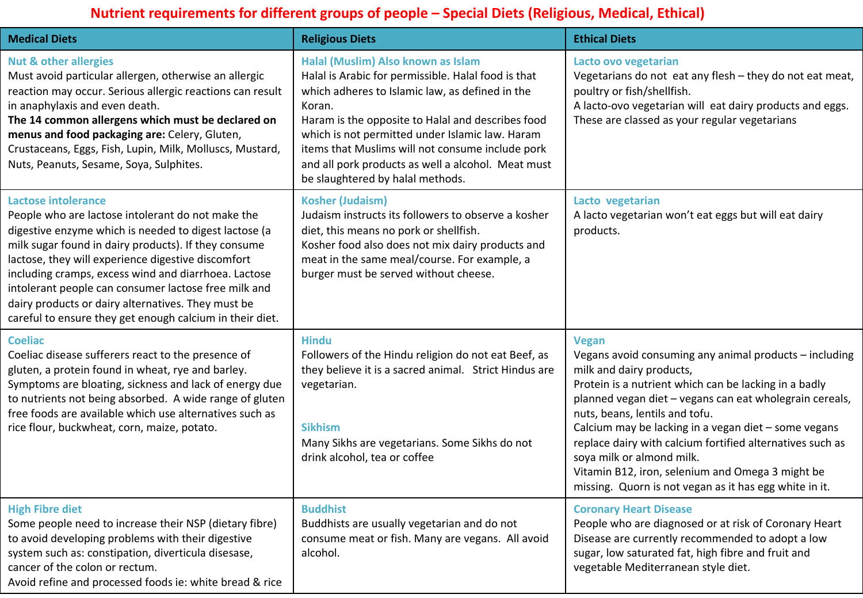## **Nutrient requirements for different groups of people – Special Diets (Religious, Medical, Ethical)**

| <b>Medical Diets</b>                                                                                                                                                                                                                                                                                                                                                                                                                                                                     | <b>Religious Diets</b>                                                                                                                                                                                                                                                                                                                                                                                       | <b>Ethical Diets</b>                                                                                                                                                                                                                                                                                                                                                                                                                                                                                                     |
|------------------------------------------------------------------------------------------------------------------------------------------------------------------------------------------------------------------------------------------------------------------------------------------------------------------------------------------------------------------------------------------------------------------------------------------------------------------------------------------|--------------------------------------------------------------------------------------------------------------------------------------------------------------------------------------------------------------------------------------------------------------------------------------------------------------------------------------------------------------------------------------------------------------|--------------------------------------------------------------------------------------------------------------------------------------------------------------------------------------------------------------------------------------------------------------------------------------------------------------------------------------------------------------------------------------------------------------------------------------------------------------------------------------------------------------------------|
| <b>Nut &amp; other allergies</b><br>Must avoid particular allergen, otherwise an allergic<br>reaction may occur. Serious allergic reactions can result<br>in anaphylaxis and even death.<br>The 14 common allergens which must be declared on<br>menus and food packaging are: Celery, Gluten,<br>Crustaceans, Eggs, Fish, Lupin, Milk, Molluscs, Mustard,<br>Nuts, Peanuts, Sesame, Soya, Sulphites.                                                                                    | Halal (Muslim) Also known as Islam<br>Halal is Arabic for permissible. Halal food is that<br>which adheres to Islamic law, as defined in the<br>Koran.<br>Haram is the opposite to Halal and describes food<br>which is not permitted under Islamic law. Haram<br>items that Muslims will not consume include pork<br>and all pork products as well a alcohol. Meat must<br>be slaughtered by halal methods. | Lacto ovo vegetarian<br>Vegetarians do not eat any flesh - they do not eat meat,<br>poultry or fish/shellfish.<br>A lacto-ovo vegetarian will eat dairy products and eggs.<br>These are classed as your regular vegetarians                                                                                                                                                                                                                                                                                              |
| <b>Lactose intolerance</b><br>People who are lactose intolerant do not make the<br>digestive enzyme which is needed to digest lactose (a<br>milk sugar found in dairy products). If they consume<br>lactose, they will experience digestive discomfort<br>including cramps, excess wind and diarrhoea. Lactose<br>intolerant people can consumer lactose free milk and<br>dairy products or dairy alternatives. They must be<br>careful to ensure they get enough calcium in their diet. | <b>Kosher (Judaism)</b><br>Judaism instructs its followers to observe a kosher<br>diet, this means no pork or shellfish.<br>Kosher food also does not mix dairy products and<br>meat in the same meal/course. For example, a<br>burger must be served without cheese.                                                                                                                                        | Lacto vegetarian<br>A lacto vegetarian won't eat eggs but will eat dairy<br>products.                                                                                                                                                                                                                                                                                                                                                                                                                                    |
| <b>Coeliac</b><br>Coeliac disease sufferers react to the presence of<br>gluten, a protein found in wheat, rye and barley.<br>Symptoms are bloating, sickness and lack of energy due<br>to nutrients not being absorbed. A wide range of gluten<br>free foods are available which use alternatives such as<br>rice flour, buckwheat, corn, maize, potato.                                                                                                                                 | <b>Hindu</b><br>Followers of the Hindu religion do not eat Beef, as<br>they believe it is a sacred animal. Strict Hindus are<br>vegetarian.<br><b>Sikhism</b><br>Many Sikhs are vegetarians. Some Sikhs do not<br>drink alcohol, tea or coffee                                                                                                                                                               | <b>Vegan</b><br>Vegans avoid consuming any animal products - including<br>milk and dairy products,<br>Protein is a nutrient which can be lacking in a badly<br>planned vegan diet - vegans can eat wholegrain cereals,<br>nuts, beans, lentils and tofu.<br>Calcium may be lacking in a vegan diet - some vegans<br>replace dairy with calcium fortified alternatives such as<br>soya milk or almond milk.<br>Vitamin B12, iron, selenium and Omega 3 might be<br>missing. Quorn is not vegan as it has egg white in it. |
| <b>High Fibre diet</b><br>Some people need to increase their NSP (dietary fibre)<br>to avoid developing problems with their digestive<br>system such as: constipation, diverticula disesase,<br>cancer of the colon or rectum.<br>Avoid refine and processed foods ie: white bread & rice                                                                                                                                                                                                | <b>Buddhist</b><br>Buddhists are usually vegetarian and do not<br>consume meat or fish. Many are vegans. All avoid<br>alcohol.                                                                                                                                                                                                                                                                               | <b>Coronary Heart Disease</b><br>People who are diagnosed or at risk of Coronary Heart<br>Disease are currently recommended to adopt a low<br>sugar, low saturated fat, high fibre and fruit and<br>vegetable Mediterranean style diet.                                                                                                                                                                                                                                                                                  |